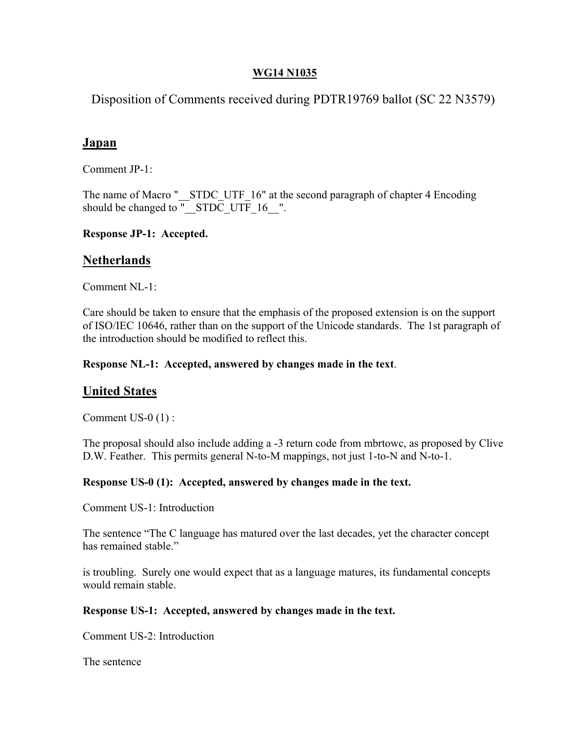# **WG14 N1035**

Disposition of Comments received during PDTR19769 ballot (SC 22 N3579)

# **Japan**

Comment JP-1:

The name of Macro "\_\_STDC\_UTF\_16" at the second paragraph of chapter 4 Encoding should be changed to  $\overline{S}$   $\overline{S}$   $\overline{S}$   $\overline{C}$   $\overline{C}$   $\overline{C}$   $\overline{C}$   $\overline{C}$   $\overline{C}$   $\overline{C}$   $\overline{C}$   $\overline{C}$   $\overline{C}$   $\overline{C}$   $\overline{C}$   $\overline{C}$   $\overline{C}$   $\overline{C}$   $\overline{C}$   $\overline{C}$   $\overline{C}$   $\overline{C}$   $\$ 

**Response JP-1: Accepted.** 

# **Netherlands**

Comment NL-1:

Care should be taken to ensure that the emphasis of the proposed extension is on the support of ISO/IEC 10646, rather than on the support of the Unicode standards. The 1st paragraph of the introduction should be modified to reflect this.

# **Response NL-1: Accepted, answered by changes made in the text**.

# **United States**

Comment US-0 (1) :

The proposal should also include adding a -3 return code from mbrtowc, as proposed by Clive D.W. Feather. This permits general N-to-M mappings, not just 1-to-N and N-to-1.

## **Response US-0 (1): Accepted, answered by changes made in the text.**

Comment US-1: Introduction

The sentence "The C language has matured over the last decades, yet the character concept has remained stable."

is troubling. Surely one would expect that as a language matures, its fundamental concepts would remain stable.

## **Response US-1: Accepted, answered by changes made in the text.**

Comment US-2: Introduction

The sentence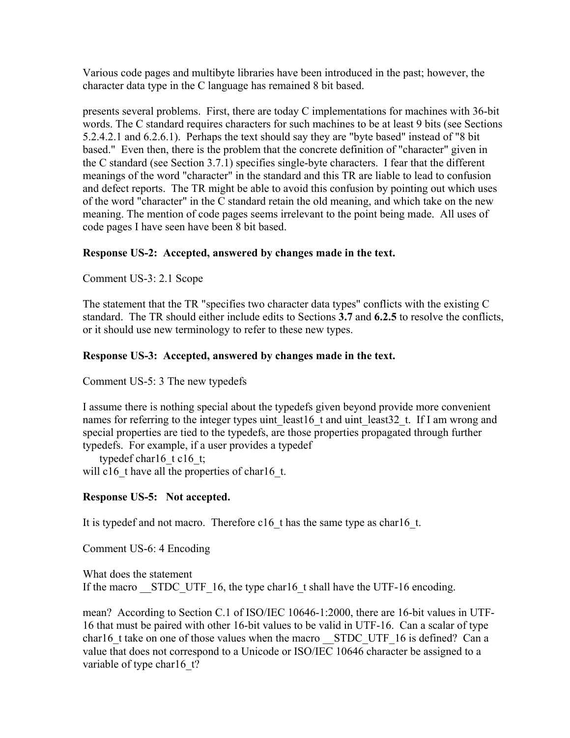Various code pages and multibyte libraries have been introduced in the past; however, the character data type in the C language has remained 8 bit based.

presents several problems. First, there are today C implementations for machines with 36-bit words. The C standard requires characters for such machines to be at least 9 bits (see Sections 5.2.4.2.1 and 6.2.6.1). Perhaps the text should say they are "byte based" instead of "8 bit based." Even then, there is the problem that the concrete definition of "character" given in the C standard (see Section 3.7.1) specifies single-byte characters. I fear that the different meanings of the word "character" in the standard and this TR are liable to lead to confusion and defect reports. The TR might be able to avoid this confusion by pointing out which uses of the word "character" in the C standard retain the old meaning, and which take on the new meaning. The mention of code pages seems irrelevant to the point being made. All uses of code pages I have seen have been 8 bit based.

# **Response US-2: Accepted, answered by changes made in the text.**

Comment US-3: 2.1 Scope

The statement that the TR "specifies two character data types" conflicts with the existing C standard. The TR should either include edits to Sections **3.7** and **6.2.5** to resolve the conflicts, or it should use new terminology to refer to these new types.

# **Response US-3: Accepted, answered by changes made in the text.**

Comment US-5: 3 The new typedefs

I assume there is nothing special about the typedefs given beyond provide more convenient names for referring to the integer types uint least16 t and uint least32 t. If I am wrong and special properties are tied to the typedefs, are those properties propagated through further typedefs. For example, if a user provides a typedef

typedef charl6 t c16 t; will c16 t have all the properties of char16 t.

## **Response US-5: Not accepted.**

It is typedef and not macro. Therefore c16 t has the same type as char16 t.

Comment US-6: 4 Encoding

What does the statement If the macro \_\_STDC\_UTF\_16, the type char16 t shall have the UTF-16 encoding.

mean? According to Section C.1 of ISO/IEC 10646-1:2000, there are 16-bit values in UTF-16 that must be paired with other 16-bit values to be valid in UTF-16. Can a scalar of type char16 t take on one of those values when the macro \_\_STDC\_UTF\_16 is defined? Can a value that does not correspond to a Unicode or ISO/IEC 10646 character be assigned to a variable of type charl 6 t?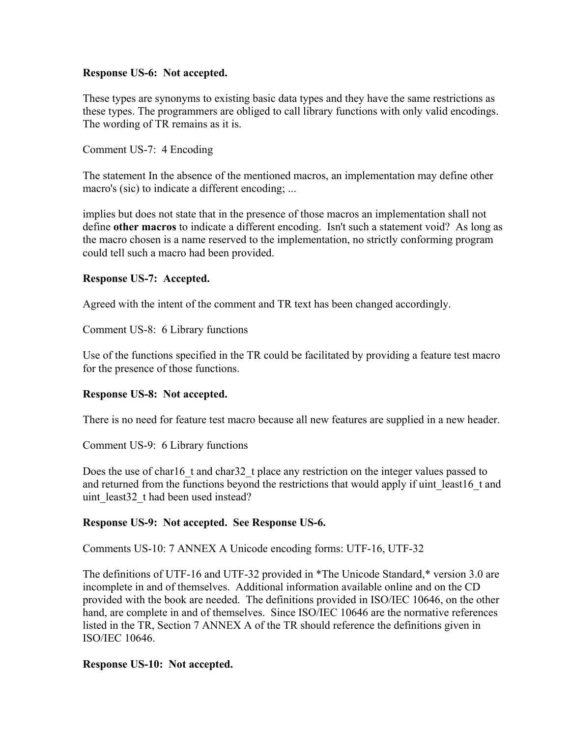#### **Response US-6: Not accepted.**

These types are synonyms to existing basic data types and they have the same restrictions as these types. The programmers are obliged to call library functions with only valid encodings. The wording of TR remains as it is.

Comment US-7: 4 Encoding

The statement In the absence of the mentioned macros, an implementation may define other macro's (sic) to indicate a different encoding; ...

implies but does not state that in the presence of those macros an implementation shall not define **other macros** to indicate a different encoding. Isn't such a statement void? As long as the macro chosen is a name reserved to the implementation, no strictly conforming program could tell such a macro had been provided.

#### **Response US-7: Accepted.**

Agreed with the intent of the comment and TR text has been changed accordingly.

Comment US-8: 6 Library functions

Use of the functions specified in the TR could be facilitated by providing a feature test macro for the presence of those functions.

## **Response US-8: Not accepted.**

There is no need for feature test macro because all new features are supplied in a new header.

Comment US-9: 6 Library functions

Does the use of char16 t and char32 t place any restriction on the integer values passed to and returned from the functions beyond the restrictions that would apply if uint least16 t and uint least32 t had been used instead?

## **Response US-9: Not accepted. See Response US-6.**

Comments US-10: 7 ANNEX A Unicode encoding forms: UTF-16, UTF-32

The definitions of UTF-16 and UTF-32 provided in \*The Unicode Standard,\* version 3.0 are incomplete in and of themselves. Additional information available online and on the CD provided with the book are needed. The definitions provided in ISO/IEC 10646, on the other hand, are complete in and of themselves. Since ISO/IEC 10646 are the normative references listed in the TR, Section 7 ANNEX A of the TR should reference the definitions given in ISO/IEC 10646.

## **Response US-10: Not accepted.**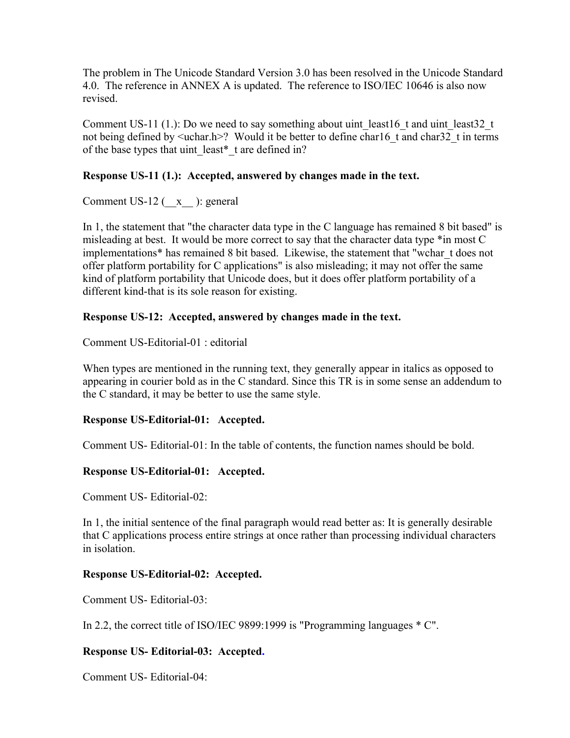The problem in The Unicode Standard Version 3.0 has been resolved in the Unicode Standard 4.0. The reference in ANNEX A is updated. The reference to ISO/IEC 10646 is also now revised.

Comment US-11 (1.): Do we need to say something about uint least16 t and uint least32 t not being defined by  $\leq$ uchar.h>? Would it be better to define char16 t and char32 t in terms of the base types that uint least\* t are defined in?

## **Response US-11 (1.): Accepted, answered by changes made in the text.**

Comment US-12 (\_\_x\_\_ ): general

In 1, the statement that "the character data type in the C language has remained 8 bit based" is misleading at best. It would be more correct to say that the character data type \*in most C implementations\* has remained 8 bit based. Likewise, the statement that "wchar\_t does not offer platform portability for C applications" is also misleading; it may not offer the same kind of platform portability that Unicode does, but it does offer platform portability of a different kind-that is its sole reason for existing.

# **Response US-12: Accepted, answered by changes made in the text.**

Comment US-Editorial-01 : editorial

When types are mentioned in the running text, they generally appear in italics as opposed to appearing in courier bold as in the C standard. Since this TR is in some sense an addendum to the C standard, it may be better to use the same style.

## **Response US-Editorial-01: Accepted.**

Comment US- Editorial-01: In the table of contents, the function names should be bold.

## **Response US-Editorial-01: Accepted.**

Comment US- Editorial-02:

In 1, the initial sentence of the final paragraph would read better as: It is generally desirable that C applications process entire strings at once rather than processing individual characters in isolation.

## **Response US-Editorial-02: Accepted.**

Comment US- Editorial-03:

In 2.2, the correct title of ISO/IEC 9899:1999 is "Programming languages \* C".

# **Response US- Editorial-03: Accepted.**

Comment US- Editorial-04: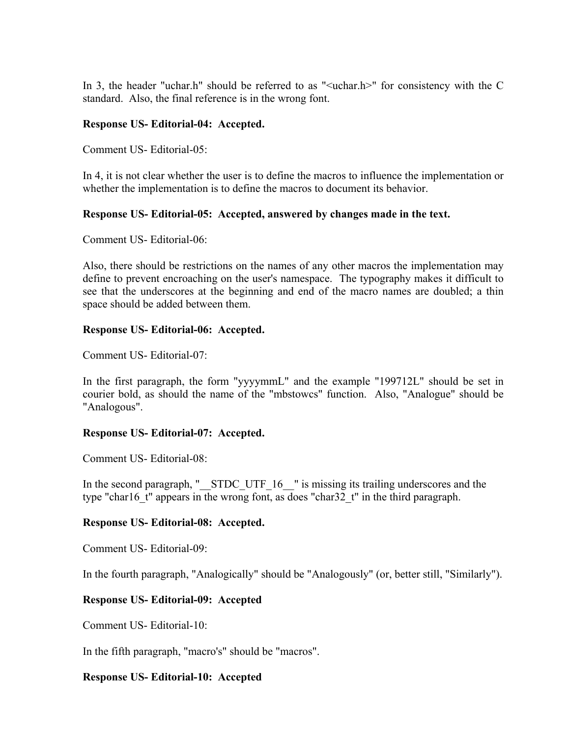In 3, the header "uchar.h" should be referred to as " $\le$ uchar.h $>$ " for consistency with the C standard. Also, the final reference is in the wrong font.

#### **Response US- Editorial-04: Accepted.**

Comment US- Editorial-05:

In 4, it is not clear whether the user is to define the macros to influence the implementation or whether the implementation is to define the macros to document its behavior.

#### **Response US- Editorial-05: Accepted, answered by changes made in the text.**

Comment US- Editorial-06:

Also, there should be restrictions on the names of any other macros the implementation may define to prevent encroaching on the user's namespace. The typography makes it difficult to see that the underscores at the beginning and end of the macro names are doubled; a thin space should be added between them.

#### **Response US- Editorial-06: Accepted.**

Comment US- Editorial-07:

In the first paragraph, the form "yyyymmL" and the example "199712L" should be set in courier bold, as should the name of the "mbstowcs" function. Also, "Analogue" should be "Analogous".

## **Response US- Editorial-07: Accepted.**

Comment US- Editorial-08:

In the second paragraph, "\_\_STDC\_UTF\_16\_\_" is missing its trailing underscores and the type "char16 t" appears in the wrong font, as does "char32 t" in the third paragraph.

## **Response US- Editorial-08: Accepted.**

Comment US- Editorial-09:

In the fourth paragraph, "Analogically" should be "Analogously" (or, better still, "Similarly").

## **Response US- Editorial-09: Accepted**

Comment US- Editorial-10:

In the fifth paragraph, "macro's" should be "macros".

## **Response US- Editorial-10: Accepted**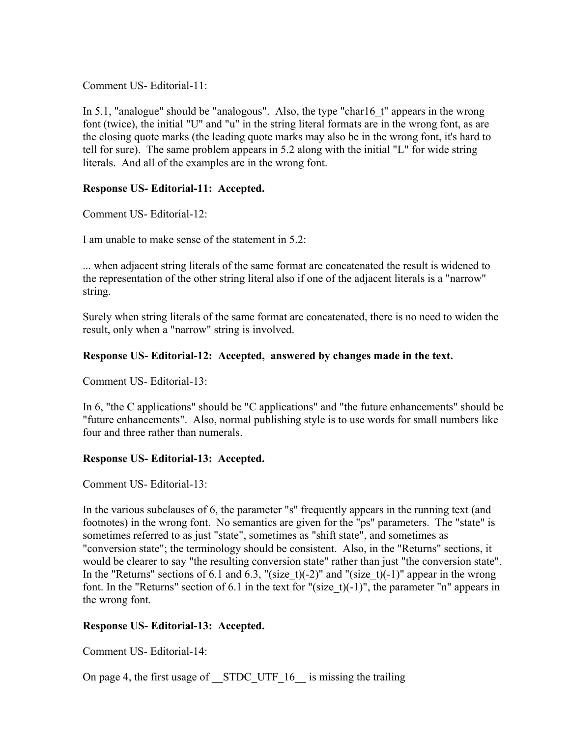Comment US- Editorial-11:

In 5.1, "analogue" should be "analogous". Also, the type "char16\_t" appears in the wrong font (twice), the initial "U" and "u" in the string literal formats are in the wrong font, as are the closing quote marks (the leading quote marks may also be in the wrong font, it's hard to tell for sure). The same problem appears in 5.2 along with the initial "L" for wide string literals. And all of the examples are in the wrong font.

## **Response US- Editorial-11: Accepted.**

Comment US- Editorial-12:

I am unable to make sense of the statement in 5.2:

... when adjacent string literals of the same format are concatenated the result is widened to the representation of the other string literal also if one of the adjacent literals is a "narrow" string.

Surely when string literals of the same format are concatenated, there is no need to widen the result, only when a "narrow" string is involved.

## **Response US- Editorial-12: Accepted, answered by changes made in the text.**

Comment US- Editorial-13:

In 6, "the C applications" should be "C applications" and "the future enhancements" should be "future enhancements". Also, normal publishing style is to use words for small numbers like four and three rather than numerals.

## **Response US- Editorial-13: Accepted.**

Comment US- Editorial-13:

In the various subclauses of 6, the parameter "s" frequently appears in the running text (and footnotes) in the wrong font. No semantics are given for the "ps" parameters. The "state" is sometimes referred to as just "state", sometimes as "shift state", and sometimes as "conversion state"; the terminology should be consistent. Also, in the "Returns" sections, it would be clearer to say "the resulting conversion state" rather than just "the conversion state". In the "Returns" sections of 6.1 and 6.3, "(size t)(-2)" and "(size t)(-1)" appear in the wrong font. In the "Returns" section of 6.1 in the text for "(size\_t)(-1)", the parameter "n" appears in the wrong font.

## **Response US- Editorial-13: Accepted.**

Comment US- Editorial-14:

On page 4, the first usage of STDC UTF 16 is missing the trailing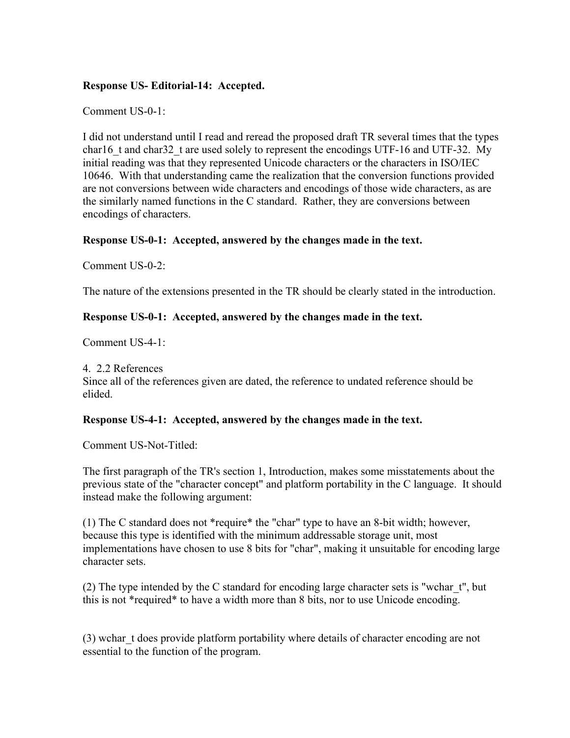#### **Response US- Editorial-14: Accepted.**

Comment US-0-1:

I did not understand until I read and reread the proposed draft TR several times that the types char16 t and char32 t are used solely to represent the encodings UTF-16 and UTF-32. My initial reading was that they represented Unicode characters or the characters in ISO/IEC 10646. With that understanding came the realization that the conversion functions provided are not conversions between wide characters and encodings of those wide characters, as are the similarly named functions in the C standard. Rather, they are conversions between encodings of characters.

## **Response US-0-1: Accepted, answered by the changes made in the text.**

Comment US-0-2:

The nature of the extensions presented in the TR should be clearly stated in the introduction.

#### **Response US-0-1: Accepted, answered by the changes made in the text.**

Comment US-4-1:

4. 2.2 References Since all of the references given are dated, the reference to undated reference should be elided.

## **Response US-4-1: Accepted, answered by the changes made in the text.**

Comment US-Not-Titled:

The first paragraph of the TR's section 1, Introduction, makes some misstatements about the previous state of the "character concept" and platform portability in the C language. It should instead make the following argument:

(1) The C standard does not \*require\* the "char" type to have an 8-bit width; however, because this type is identified with the minimum addressable storage unit, most implementations have chosen to use 8 bits for "char", making it unsuitable for encoding large character sets.

(2) The type intended by the C standard for encoding large character sets is "wchar\_t", but this is not \*required\* to have a width more than 8 bits, nor to use Unicode encoding.

(3) wchar\_t does provide platform portability where details of character encoding are not essential to the function of the program.